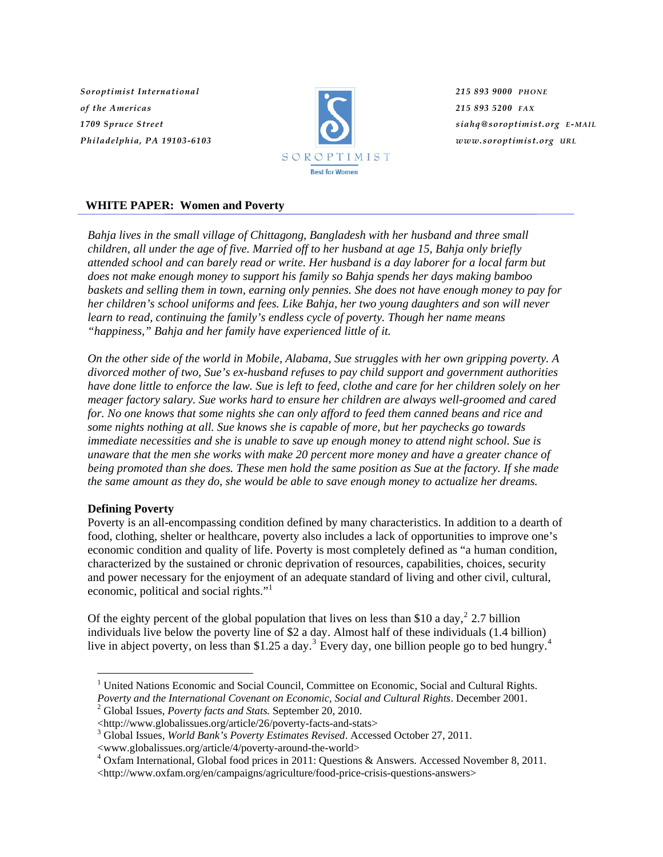*Soroptimist International of the Americas 1709 Spruce Street Philadelphia, PA 19103-6103*



*215 893 9000 PHONE 215 893 5200 FAX siahq@soroptimist.org E-MAIL www.soroptimist.org URL*

# **WHITE PAPER: Women and Poverty**

*Bahja lives in the small village of Chittagong, Bangladesh with her husband and three small children, all under the age of five. Married off to her husband at age 15, Bahja only briefly attended school and can barely read or write. Her husband is a day laborer for a local farm but does not make enough money to support his family so Bahja spends her days making bamboo baskets and selling them in town, earning only pennies. She does not have enough money to pay for her children's school uniforms and fees. Like Bahja, her two young daughters and son will never learn to read, continuing the family's endless cycle of poverty. Though her name means "happiness," Bahja and her family have experienced little of it.* 

*On the other side of the world in Mobile, Alabama, Sue struggles with her own gripping poverty. A divorced mother of two, Sue's ex-husband refuses to pay child support and government authorities have done little to enforce the law. Sue is left to feed, clothe and care for her children solely on her meager factory salary. Sue works hard to ensure her children are always well-groomed and cared for. No one knows that some nights she can only afford to feed them canned beans and rice and some nights nothing at all. Sue knows she is capable of more, but her paychecks go towards immediate necessities and she is unable to save up enough money to attend night school. Sue is unaware that the men she works with make 20 percent more money and have a greater chance of being promoted than she does. These men hold the same position as Sue at the factory. If she made the same amount as they do, she would be able to save enough money to actualize her dreams.* 

## **Defining Poverty**

 $\overline{a}$ 

Poverty is an all-encompassing condition defined by many characteristics. In addition to a dearth of food, clothing, shelter or healthcare, poverty also includes a lack of opportunities to improve one's economic condition and quality of life. Poverty is most completely defined as "a human condition, characterized by the sustained or chronic deprivation of resources, capabilities, choices, security and power necessary for the enjoyment of an adequate standard of living and other civil, cultural, economic, political and social rights."<sup>[1](#page-0-0)</sup>

Of the eighty percent of the global population that lives on less than \$10 a day,  $22.7$  $22.7$  billion individuals live below the poverty line of \$2 a day. Almost half of these individuals (1.4 billion) live in abject poverty, on less than \$1.25 a day.<sup>[3](#page-0-2)</sup> Every day, one billion people go to bed hungry.<sup>[4](#page-0-3)</sup>

<span id="page-0-0"></span><sup>&</sup>lt;sup>1</sup> United Nations Economic and Social Council, Committee on Economic, Social and Cultural Rights. *Poverty and the International Covenant on Economic, Social and Cultural Rights*. December 2001. 2

<span id="page-0-1"></span>Global Issues, *Poverty facts and Stats.* September 20, 2010.

<sup>&</sup>lt;http://www.globalissues.org/article/26/poverty-facts-and-stats> 3

<span id="page-0-2"></span><sup>&</sup>lt;sup>3</sup> Global Issues, *World Bank's Poverty Estimates Revised*. Accessed October 27, 2011.

<sup>&</sup>lt;www.globalissues.org/article/4/poverty-around-the-world> 4

<span id="page-0-3"></span>Oxfam International, Global food prices in 2011: Questions & Answers. Accessed November 8, 2011.

<sup>&</sup>lt;http://www.oxfam.org/en/campaigns/agriculture/food-price-crisis-questions-answers>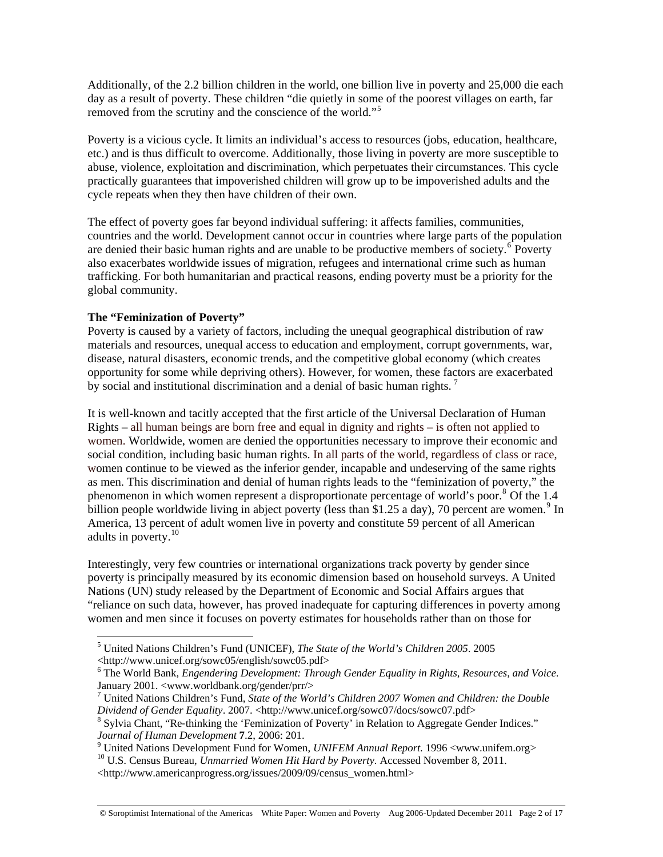Additionally, of the 2.2 billion children in the world, one billion live in poverty and 25,000 die each day as a result of poverty. These children "die quietly in some of the poorest villages on earth, far removed from the scrutiny and the conscience of the world."<sup>[5](#page-1-0)</sup>

Poverty is a vicious cycle. It limits an individual's access to resources (jobs, education, healthcare, etc.) and is thus difficult to overcome. Additionally, those living in poverty are more susceptible to abuse, violence, exploitation and discrimination, which perpetuates their circumstances. This cycle practically guarantees that impoverished children will grow up to be impoverished adults and the cycle repeats when they then have children of their own.

The effect of poverty goes far beyond individual suffering: it affects families, communities, countries and the world. Development cannot occur in countries where large parts of the population are denied their basic human rights and are unable to be productive members of society.  $\overline{6}$  $\overline{6}$  $\overline{6}$  Poverty also exacerbates worldwide issues of migration, refugees and international crime such as human trafficking. For both humanitarian and practical reasons, ending poverty must be a priority for the global community.

#### **The "Feminization of Poverty"**

 $\overline{a}$ 

Poverty is caused by a variety of factors, including the unequal geographical distribution of raw materials and resources, unequal access to education and employment, corrupt governments, war, disease, natural disasters, economic trends, and the competitive global economy (which creates opportunity for some while depriving others). However, for women, these factors are exacerbated by social and institutional discrimination and a denial of basic human rights.<sup>[7](#page-1-2)</sup>

It is well-known and tacitly accepted that the first article of the Universal Declaration of Human Rights – all human beings are born free and equal in dignity and rights – is often not applied to women. Worldwide, women are denied the opportunities necessary to improve their economic and social condition, including basic human rights. In all parts of the world, regardless of class or race, women continue to be viewed as the inferior gender, incapable and undeserving of the same rights as men. This discrimination and denial of human rights leads to the "feminization of poverty," the phenomenon in which women represent a disproportionate percentage of world's poor.<sup>[8](#page-1-3)</sup> Of the 1.4 billion people worldwide living in abject poverty (less than \$1.25 a day), 70 percent are women.<sup>[9](#page-1-4)</sup> In America, 13 percent of adult women live in poverty and constitute 59 percent of all American adults in poverty.[10](#page-1-5)

Interestingly, very few countries or international organizations track poverty by gender since poverty is principally measured by its economic dimension based on household surveys. A United Nations (UN) study released by the Department of Economic and Social Affairs argues that "reliance on such data, however, has proved inadequate for capturing differences in poverty among women and men since it focuses on poverty estimates for households rather than on those for

<span id="page-1-0"></span><sup>5</sup> United Nations Children's Fund (UNICEF), *The State of the World's Children 2005*. 2005 <http://www.unicef.org/sowc05/english/sowc05.pdf> 6

<span id="page-1-1"></span>The World Bank, *Engendering Development: Through Gender Equality in Rights, Resources, and Voice*. January 2001. <www.worldbank.org/gender/prr/>

<span id="page-1-2"></span><sup>&</sup>lt;sup>7</sup> United Nations Children's Fund, *State of the World's Children 2007 Women and Children: the Double Dividend of Gender Equality*. 2007. <http://www.unicef.org/sowc07/docs/sowc07.pdf>

<span id="page-1-3"></span><sup>&</sup>lt;sup>8</sup> Sylvia Chant, "Re-thinking the 'Feminization of Poverty' in Relation to Aggregate Gender Indices." *Journal of Human Development* **7**.2, 2006: 201.<br><sup>9</sup> United Nations Development Fund for Women, *UNIFEM Annual Report*. 1996 <www.unifem.org>

<span id="page-1-4"></span>

<span id="page-1-5"></span><sup>&</sup>lt;sup>10</sup> U.S. Census Bureau, *Unmarried Women Hit Hard by Poverty*. Accessed November 8, 2011.

<sup>&</sup>lt;http://www.americanprogress.org/issues/2009/09/census\_women.html>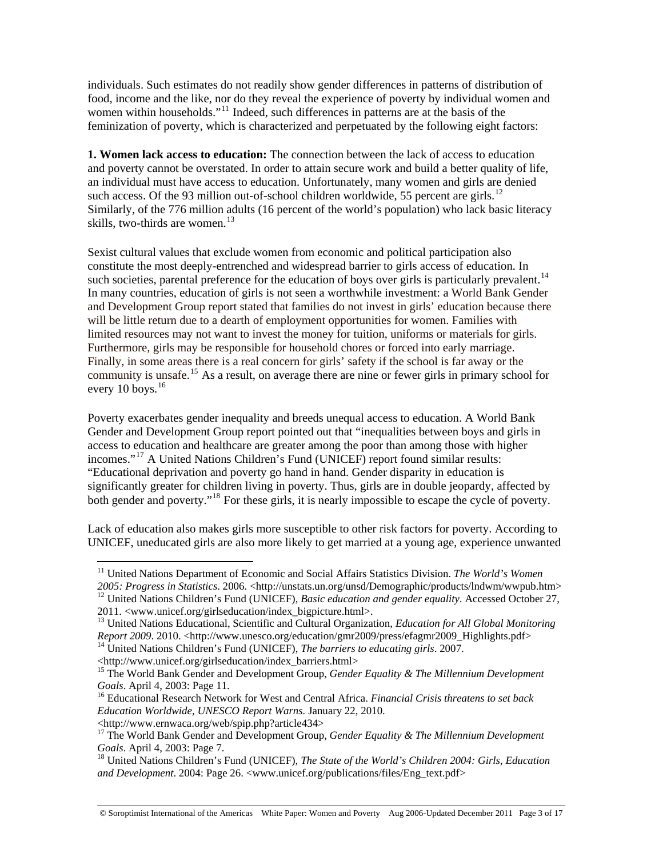individuals. Such estimates do not readily show gender differences in patterns of distribution of food, income and the like, nor do they reveal the experience of poverty by individual women and women within households."<sup>[11](#page-2-0)</sup> Indeed, such differences in patterns are at the basis of the feminization of poverty, which is characterized and perpetuated by the following eight factors:

**1. Women lack access to education:** The connection between the lack of access to education and poverty cannot be overstated. In order to attain secure work and build a better quality of life, an individual must have access to education. Unfortunately, many women and girls are denied such access. Of the 93 million out-of-school children worldwide, 55 percent are girls.<sup>[12](#page-2-1)</sup> Similarly, of the 776 million adults (16 percent of the world's population) who lack basic literacy skills, two-thirds are women.<sup>[13](#page-2-2)</sup>

Sexist cultural values that exclude women from economic and political participation also constitute the most deeply-entrenched and widespread barrier to girls access of education. In such societies, parental preference for the education of boys over girls is particularly prevalent.<sup>[14](#page-2-3)</sup> In many countries, education of girls is not seen a worthwhile investment: a World Bank Gender and Development Group report stated that families do not invest in girls' education because there will be little return due to a dearth of employment opportunities for women. Families with limited resources may not want to invest the money for tuition, uniforms or materials for girls. Furthermore, girls may be responsible for household chores or forced into early marriage. Finally, in some areas there is a real concern for girls' safety if the school is far away or the community is unsafe.<sup>[15](#page-2-4)</sup> As a result, on average there are nine or fewer girls in primary school for every 10 boys.<sup>[16](#page-2-5)</sup>

Poverty exacerbates gender inequality and breeds unequal access to education. A World Bank Gender and Development Group report pointed out that "inequalities between boys and girls in access to education and healthcare are greater among the poor than among those with higher incomes."[17](#page-2-6) A United Nations Children's Fund (UNICEF) report found similar results: "Educational deprivation and poverty go hand in hand. Gender disparity in education is significantly greater for children living in poverty. Thus, girls are in double jeopardy, affected by both gender and poverty."<sup>[18](#page-2-7)</sup> For these girls, it is nearly impossible to escape the cycle of poverty.

Lack of education also makes girls more susceptible to other risk factors for poverty. According to UNICEF, uneducated girls are also more likely to get married at a young age, experience unwanted

 $\overline{a}$ 

© Soroptimist International of the Americas White Paper: Women and Poverty Aug 2006-Updated December 2011 Page 3 of 17

<sup>&</sup>lt;sup>11</sup> United Nations Department of Economic and Social Affairs Statistics Division. *The World's Women* 

<span id="page-2-1"></span><span id="page-2-0"></span>*<sup>2005:</sup> Progress in Statistics*. 2006. <http://unstats.un.org/unsd/Demographic/products/lndwm/wwpub.htm> 12 United Nations Children's Fund (UNICEF), *Basic education and gender equality*. Accessed October 27, 2011. <www.unicef.org/girlseducation/index\_bigpicture.html>.

<span id="page-2-2"></span><sup>13</sup> United Nations Educational, Scientific and Cultural Organization, *Education for All Global Monitoring Report 2009.* 2010. <http://www.unesco.org/education/gmr2009/press/efagmr2009\_Highlights.pdf> <sup>14</sup> United Nations Children's Fund (UNICEF), *The barriers to educating girls*. 2007. <http://www.unicef.org/girlseducation/i

<span id="page-2-3"></span>

<span id="page-2-4"></span><sup>&</sup>lt;sup>15</sup> The World Bank Gender and Development Group, *Gender Equality & The Millennium Development Goals*. April 4, 2003: Page 11. 16 Educational Research Network for West and Central Africa. *Financial Crisis threatens to set back* 

<span id="page-2-5"></span>*Education Worldwide, UNESCO Report Warns.* January 22, 2010.

<sup>&</sup>lt;http://www.ernwaca.org/web/spip.php?article434>

<span id="page-2-6"></span><sup>17</sup> The World Bank Gender and Development Group, *Gender Equality & The Millennium Development Goals.* April 4, 2003: Page 7.

<span id="page-2-7"></span><sup>&</sup>lt;sup>18</sup> United Nations Children's Fund (UNICEF), *The State of the World's Children 2004: Girls, Education and Development*. 2004: Page 26. <www.unicef.org/publications/files/Eng\_text.pdf>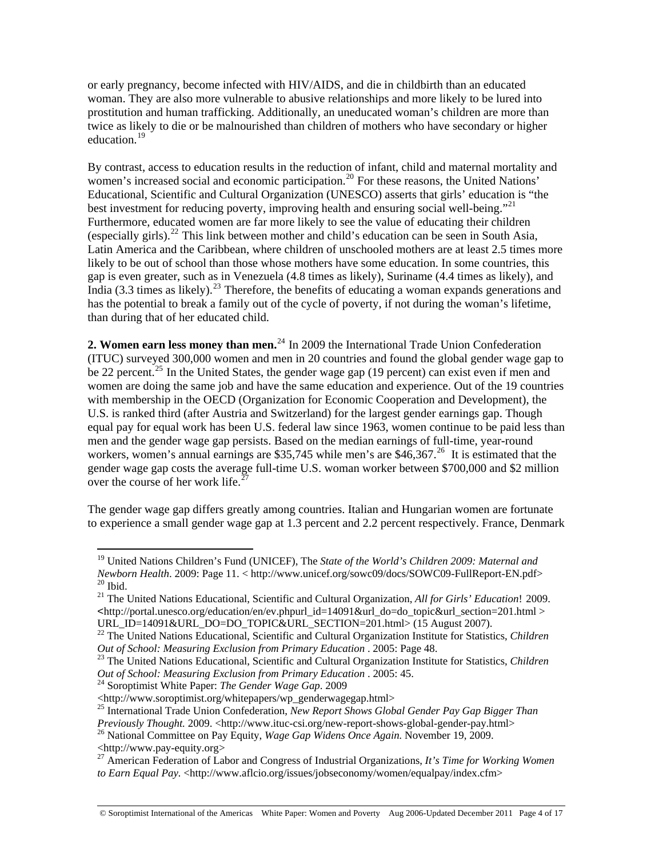or early pregnancy, become infected with HIV/AIDS, and die in childbirth than an educated woman. They are also more vulnerable to abusive relationships and more likely to be lured into prostitution and human trafficking. Additionally, an uneducated woman's children are more than twice as likely to die or be malnourished than children of mothers who have secondary or higher education.[19](#page-3-0)

By contrast, access to education results in the reduction of infant, child and maternal mortality and women's increased social and economic participation.<sup>[20](#page-3-1)</sup> For these reasons, the United Nations' Educational, Scientific and Cultural Organization (UNESCO) asserts that girls' education is "the best investment for reducing poverty, improving health and ensuring social well-being.<sup>"[21](#page-3-2)</sup> Furthermore, educated women are far more likely to see the value of educating their children (especially girls).[22](#page-3-3) This link between mother and child's education can be seen in South Asia, Latin America and the Caribbean, where children of unschooled mothers are at least 2.5 times more likely to be out of school than those whose mothers have some education. In some countries, this gap is even greater, such as in Venezuela (4.8 times as likely), Suriname (4.4 times as likely), and India (3.3 times as likely).<sup>[23](#page-3-4)</sup> Therefore, the benefits of educating a woman expands generations and has the potential to break a family out of the cycle of poverty, if not during the woman's lifetime, than during that of her educated child.

**2. Women earn less money than men.**<sup>[24](#page-3-5)</sup> In 2009 the International Trade Union Confederation (ITUC) surveyed 300,000 women and men in 20 countries and found the global gender wage gap to be 22 percent.<sup>[25](#page-3-6)</sup> In the United States, the gender wage gap (19 percent) can exist even if men and women are doing the same job and have the same education and experience. Out of the 19 countries with membership in the OECD (Organization for Economic Cooperation and Development), the U.S. is ranked third (after Austria and Switzerland) for the largest gender earnings gap. Though equal pay for equal work has been U.S. federal law since 1963, women continue to be paid less than men and the gender wage gap persists. Based on the median earnings of full-time, year-round workers, women's annual earnings are \$35,745 while men's are  $$46,367<sup>26</sup>$  $$46,367<sup>26</sup>$  $$46,367<sup>26</sup>$  It is estimated that the gender wage gap costs the average full-time U.S. woman worker between \$700,000 and \$2 million over the course of her work life.<sup>2</sup>

The gender wage gap differs greatly among countries. Italian and Hungarian women are fortunate to experience a small gender wage gap at 1.3 percent and 2.2 percent respectively. France, Denmark

<span id="page-3-0"></span><sup>19</sup> United Nations Children's Fund (UNICEF), The *State of the World's Children 2009: Maternal and Newborn Health*. 2009: Page 11. < http://www.unicef.org/sowc09/docs/SOWC09-FullReport-EN.pdf> 20 Ibid.

<span id="page-3-2"></span><span id="page-3-1"></span><sup>21</sup> The United Nations Educational, Scientific and Cultural Organization, *All for Girls' Education*! 2009. <http://portal.unesco.org/education/en/ev.phpurl\_id=14091&url\_do=do\_topic&url\_section=201.html >

<span id="page-3-3"></span><sup>&</sup>lt;sup>22</sup> The United Nations Educational, Scientific and Cultural Organization Institute for Statistics, *Children* 

<span id="page-3-4"></span>*Out of School: Measuring Exclusion from Primary Education .* 2005: Page 48.<br><sup>23</sup> The United Nations Educational, Scientific and Cultural Organization Institute for Statistics, *Children Out of School: Measuring Exclusion* 

<span id="page-3-5"></span><sup>&</sup>lt;sup>24</sup> Soroptimist White Paper: *The Gender Wage Gap*. 2009

<sup>&</sup>lt;http://www.soroptimist.org/whitepapers/wp\_genderwagegap.html>

<span id="page-3-6"></span><sup>25</sup> International Trade Union Confederation, *New Report Shows Global Gender Pay Gap Bigger Than* 

*Previously Thought.* 2009. <http://www.ituc-csi.org/new-report-shows-global-gender-pay.html> 26 National Committee on Pay Equity, *Wage Gap Widens Once Again.* November 19, 2009.

<span id="page-3-7"></span><sup>&</sup>lt;http://www.pay-equity.org>

<span id="page-3-8"></span><sup>27</sup> American Federation of Labor and Congress of Industrial Organizations, *It's Time for Working Women to Earn Equal Pay.* <http://www.aflcio.org/issues/jobseconomy/women/equalpay/index.cfm>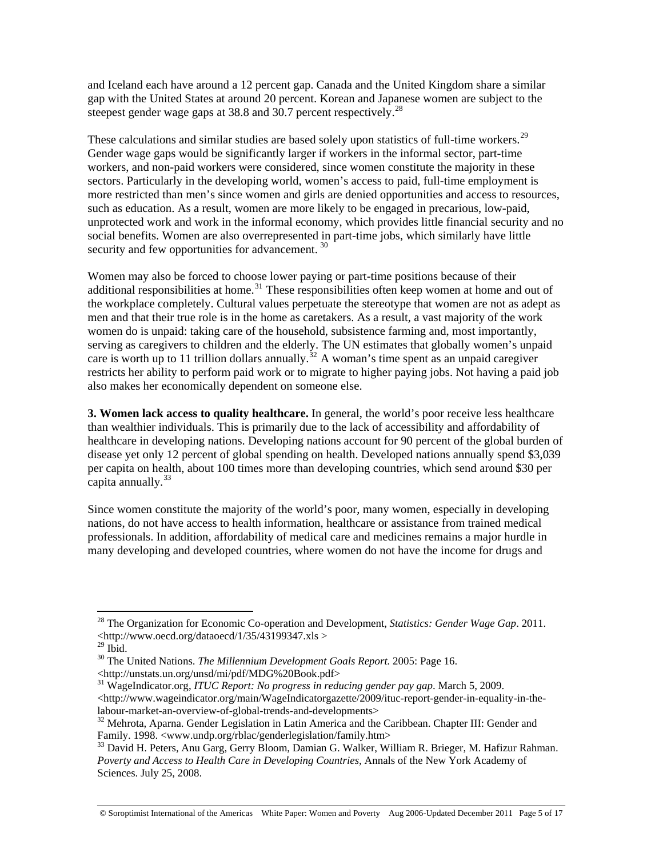and Iceland each have around a 12 percent gap. Canada and the United Kingdom share a similar gap with the United States at around 20 percent. Korean and Japanese women are subject to the steepest gender wage gaps at 38.8 and 30.7 percent respectively.<sup>[28](#page-4-0)</sup>

These calculations and similar studies are based solely upon statistics of full-time workers.<sup>[29](#page-4-1)</sup> Gender wage gaps would be significantly larger if workers in the informal sector, part-time workers, and non-paid workers were considered, since women constitute the majority in these sectors. Particularly in the developing world, women's access to paid, full-time employment is more restricted than men's since women and girls are denied opportunities and access to resources, such as education. As a result, women are more likely to be engaged in precarious, low-paid, unprotected work and work in the informal economy, which provides little financial security and no social benefits. Women are also overrepresented in part-time jobs, which similarly have little security and few opportunities for advancement.<sup>[30](#page-4-2)</sup>

Women may also be forced to choose lower paying or part-time positions because of their additional responsibilities at home.<sup>[31](#page-4-3)</sup> These responsibilities often keep women at home and out of the workplace completely. Cultural values perpetuate the stereotype that women are not as adept as men and that their true role is in the home as caretakers. As a result, a vast majority of the work women do is unpaid: taking care of the household, subsistence farming and, most importantly, serving as caregivers to children and the elderly. The UN estimates that globally women's unpaid care is worth up to 11 trillion dollars annually.<sup>[32](#page-4-4)</sup> A woman's time spent as an unpaid caregiver restricts her ability to perform paid work or to migrate to higher paying jobs. Not having a paid job also makes her economically dependent on someone else.

**3. Women lack access to quality healthcare.** In general, the world's poor receive less healthcare than wealthier individuals. This is primarily due to the lack of accessibility and affordability of healthcare in developing nations. Developing nations account for 90 percent of the global burden of disease yet only 12 percent of global spending on health. Developed nations annually spend \$3,039 per capita on health, about 100 times more than developing countries, which send around \$30 per capita annually.<sup>[33](#page-4-5)</sup>

Since women constitute the majority of the world's poor, many women, especially in developing nations, do not have access to health information, healthcare or assistance from trained medical professionals. In addition, affordability of medical care and medicines remains a major hurdle in many developing and developed countries, where women do not have the income for drugs and

 $\overline{a}$ 

© Soroptimist International of the Americas White Paper: Women and Poverty Aug 2006-Updated December 2011 Page 5 of 17

<span id="page-4-0"></span><sup>28</sup> The Organization for Economic Co-operation and Development, *Statistics: Gender Wage Gap*. 2011.  $\lt$ http://www.oecd.org/dataoecd/1/35/43199347.xls >

<span id="page-4-1"></span> $29$  Ibid.

<span id="page-4-2"></span><sup>30</sup> The United Nations. *The Millennium Development Goals Report.* 2005: Page 16. <http://unstats.un.org/unsd/mi/pdf/MDG%20Book.pdf>

<span id="page-4-3"></span><sup>31</sup> WageIndicator.org, *ITUC Report: No progress in reducing gender pay gap*. March 5, 2009. <http://www.wageindicator.org/main/WageIndicatorgazette/2009/ituc-report-gender-in-equality-in-the-

<span id="page-4-4"></span> $32$  Mehrota, Aparna. Gender Legislation in Latin America and the Caribbean. Chapter III: Gender and Family. 1998. <www.undp.org/rblac/genderlegislation/family.htm>

<span id="page-4-5"></span><sup>&</sup>lt;sup>33</sup> David H. Peters, Anu Garg, Gerry Bloom, Damian G. Walker, William R. Brieger, M. Hafizur Rahman. *Poverty and Access to Health Care in Developing Countries,* Annals of the New York Academy of Sciences. July 25, 2008.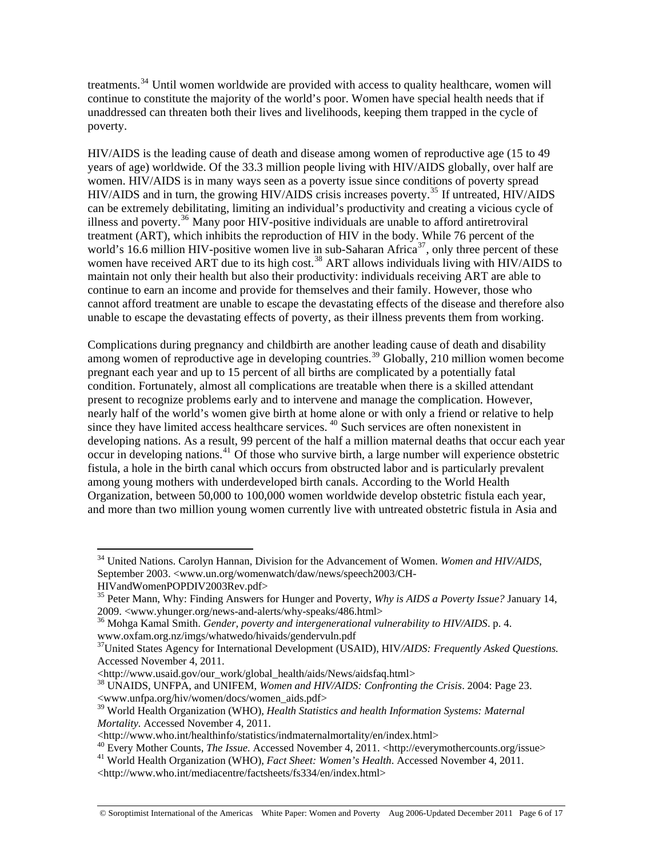treatments.<sup>[34](#page-5-0)</sup> Until women worldwide are provided with access to quality healthcare, women will continue to constitute the majority of the world's poor. Women have special health needs that if unaddressed can threaten both their lives and livelihoods, keeping them trapped in the cycle of poverty.

HIV/AIDS is the leading cause of death and disease among women of reproductive age (15 to 49 years of age) worldwide. Of the 33.3 million people living with HIV/AIDS globally, over half are women. HIV/AIDS is in many ways seen as a poverty issue since conditions of poverty spread HIV/AIDS and in turn, the growing HIV/AIDS crisis increases poverty.<sup>[35](#page-5-1)</sup> If untreated, HIV/AIDS can be extremely debilitating, limiting an individual's productivity and creating a vicious cycle of illness and poverty.<sup>[36](#page-5-2)</sup> Many poor HIV-positive individuals are unable to afford antiretroviral treatment (ART), which inhibits the reproduction of HIV in the body. While 76 percent of the world's 16.6 million HIV-positive women live in sub-Saharan Africa<sup>[37](#page-5-3)</sup>, only three percent of these women have received ART due to its high cost.<sup>[38](#page-5-4)</sup> ART allows individuals living with HIV/AIDS to maintain not only their health but also their productivity: individuals receiving ART are able to continue to earn an income and provide for themselves and their family. However, those who cannot afford treatment are unable to escape the devastating effects of the disease and therefore also unable to escape the devastating effects of poverty, as their illness prevents them from working.

Complications during pregnancy and childbirth are another leading cause of death and disability among women of reproductive age in developing countries.<sup>[39](#page-5-5)</sup> Globally, 210 million women become pregnant each year and up to 15 percent of all births are complicated by a potentially fatal condition. Fortunately, almost all complications are treatable when there is a skilled attendant present to recognize problems early and to intervene and manage the complication. However, nearly half of the world's women give birth at home alone or with only a friend or relative to help since they have limited access healthcare services.<sup>[40](#page-5-6)</sup> Such services are often nonexistent in developing nations. As a result, 99 percent of the half a million maternal deaths that occur each year occur in developing nations.<sup>[41](#page-5-7)</sup> Of those who survive birth, a large number will experience obstetric fistula, a hole in the birth canal which occurs from obstructed labor and is particularly prevalent among young mothers with underdeveloped birth canals. According to the World Health Organization, between 50,000 to 100,000 women worldwide develop obstetric fistula each year, and more than two million young women currently live with untreated obstetric fistula in Asia and

<span id="page-5-0"></span><sup>34</sup> United Nations. Carolyn Hannan, Division for the Advancement of Women. *Women and HIV/AIDS*, September 2003. <www.un.org/womenwatch/daw/news/speech2003/CH-

HIVandWomenPOPDIV2003Rev.pdf>

<span id="page-5-1"></span><sup>35</sup> Peter Mann, Why: Finding Answers for Hunger and Poverty, *Why is AIDS a Poverty Issue?* January 14, 2009. <www.yhunger.org/news-and-alerts/why-speaks/486.html>

<sup>36</sup> Mohga Kamal Smith. *Gender, poverty and intergenerational vulnerability to HIV/AIDS*. p. 4.

<span id="page-5-2"></span>www.oxfam.org.nz/imgs/whatwedo/hivaids/gendervuln.pdf

<span id="page-5-3"></span><sup>37</sup>United States Agency for International Development (USAID), HIV*/AIDS: Frequently Asked Questions.* Accessed November 4, 2011.<br>
<http://www.usaid.gov/our\_work/global\_health/aids/News/aidsfaq.html>

<span id="page-5-4"></span><sup>&</sup>lt;sup>38</sup> UNAIDS, UNFPA, and UNIFEM, *Women and HIV/AIDS: Confronting the Crisis*. 2004: Page 23. <www.unfpa.org/hiv/women/docs/women\_aids.pdf>

<span id="page-5-5"></span><sup>39</sup> World Health Organization (WHO), *Health Statistics and health Information Systems: Maternal Mortality.* Accessed November 4, 2011.

<span id="page-5-6"></span><sup>&</sup>lt;http://www.who.int/healthinfo/statistics/indmaternalmortality/en/index.html><br>
40 Every Mother Counts, *The Issue.* Accessed November 4, 2011. <http://everymothercounts.org/issue><br>
<sup>40</sup> Every Mother Counts, *The Issue.* Ac

<span id="page-5-7"></span><sup>&</sup>lt;http://www.who.int/mediacentre/factsheets/fs334/en/index.html>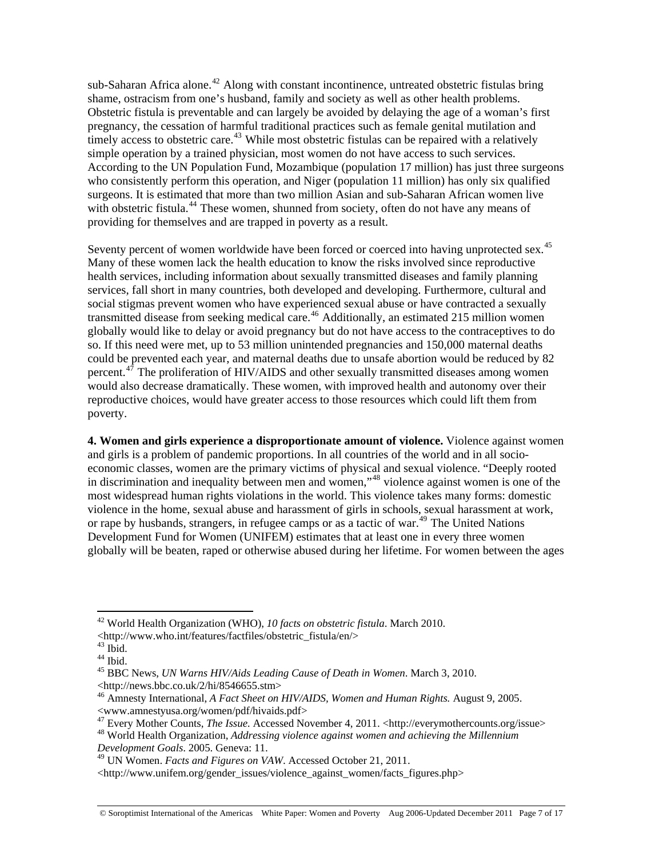sub-Saharan Africa alone.<sup>[42](#page-6-0)</sup> Along with constant incontinence, untreated obstetric fistulas bring shame, ostracism from one's husband, family and society as well as other health problems. Obstetric fistula is preventable and can largely be avoided by delaying the age of a woman's first pregnancy, the cessation of harmful traditional practices such as female genital mutilation and timely access to obstetric care.<sup>[43](#page-6-1)</sup> While most obstetric fistulas can be repaired with a relatively simple operation by a trained physician, most women do not have access to such services. According to the UN Population Fund, Mozambique (population 17 million) has just three surgeons who consistently perform this operation, and Niger (population 11 million) has only six qualified surgeons. It is estimated that more than two million Asian and sub-Saharan African women live with obstetric fistula.<sup>[44](#page-6-2)</sup> These women, shunned from society, often do not have any means of providing for themselves and are trapped in poverty as a result.

Seventy percent of women worldwide have been forced or coerced into having unprotected sex.<sup>[45](#page-6-3)</sup> Many of these women lack the health education to know the risks involved since reproductive health services, including information about sexually transmitted diseases and family planning services, fall short in many countries, both developed and developing. Furthermore, cultural and social stigmas prevent women who have experienced sexual abuse or have contracted a sexually transmitted disease from seeking medical care.<sup>[46](#page-6-4)</sup> Additionally, an estimated 215 million women globally would like to delay or avoid pregnancy but do not have access to the contraceptives to do so. If this need were met, up to 53 million unintended pregnancies and 150,000 maternal deaths could be prevented each year, and maternal deaths due to unsafe abortion would be reduced by 82 percent.<sup>[47](#page-6-5)</sup> The proliferation of HIV/AIDS and other sexually transmitted diseases among women would also decrease dramatically. These women, with improved health and autonomy over their reproductive choices, would have greater access to those resources which could lift them from poverty.

**4. Women and girls experience a disproportionate amount of violence.** Violence against women and girls is a problem of pandemic proportions. In all countries of the world and in all socioeconomic classes, women are the primary victims of physical and sexual violence. "Deeply rooted in discrimination and inequality between men and women,"<sup>[48](#page-6-6)</sup> violence against women is one of the most widespread human rights violations in the world. This violence takes many forms: domestic violence in the home, sexual abuse and harassment of girls in schools, sexual harassment at work, or rape by husbands, strangers, in refugee camps or as a tactic of war.<sup>[49](#page-6-7)</sup> The United Nations Development Fund for Women (UNIFEM) estimates that at least one in every three women globally will be beaten, raped or otherwise abused during her lifetime. For women between the ages

<span id="page-6-0"></span><sup>42</sup> World Health Organization (WHO), *10 facts on obstetric fistula*. March 2010.

<sup>&</sup>lt;http://www.who.int/features/factfiles/obstetric\_fistula/en/>

<span id="page-6-1"></span> $^{43}$  Ibid.

<span id="page-6-2"></span> $44$  Ibid.

<span id="page-6-3"></span><sup>45</sup> BBC News, *UN Warns HIV/Aids Leading Cause of Death in Women*. March 3, 2010.

<sup>&</sup>lt;http://news.bbc.co.uk/2/hi/8546655.stm>

<span id="page-6-4"></span><sup>46</sup> Amnesty International, *A Fact Sheet on HIV/AIDS, Women and Human Rights.* August 9, 2005. <www.amnestyusa.org/women/pdf/hivaids.pdf><br><sup>47</sup> Every Mother Counts, *The Issue.* Accessed November 4, 2011. <http://everymothercounts.org/issue>

<span id="page-6-6"></span><span id="page-6-5"></span><sup>&</sup>lt;sup>48</sup> World Health Organization, *Addressing violence against women and achieving the Millennium Development Goals*. 2005. Geneva: 11.

<span id="page-6-7"></span><sup>49</sup> UN Women. *Facts and Figures on VAW*. Accessed October 21, 2011.

<sup>&</sup>lt;http://www.unifem.org/gender\_issues/violence\_against\_women/facts\_figures.php>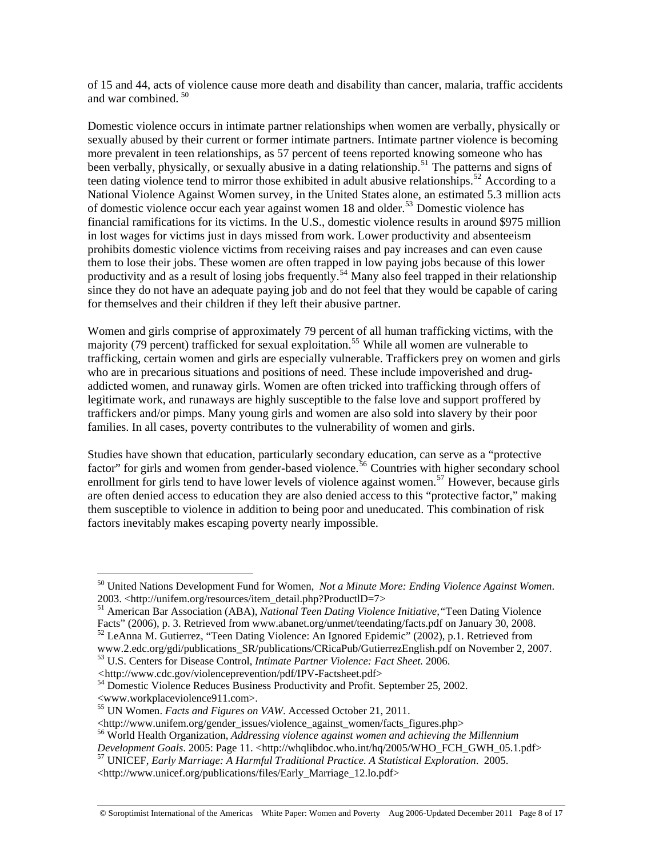of 15 and 44, acts of violence cause more death and disability than cancer, malaria, traffic accidents and war combined.  $50$ 

Domestic violence occurs in intimate partner relationships when women are verbally, physically or sexually abused by their current or former intimate partners. Intimate partner violence is becoming more prevalent in teen relationships, as 57 percent of teens reported knowing someone who has been verbally, physically, or sexually abusive in a dating relationship.<sup>[51](#page-7-1)</sup> The patterns and signs of teen dating violence tend to mirror those exhibited in adult abusive relationships.<sup>[52](#page-7-2)</sup> According to a National Violence Against Women survey, in the United States alone, an estimated 5.3 million acts of domestic violence occur each year against women 18 and older.<sup>[53](#page-7-3)</sup> Domestic violence has financial ramifications for its victims. In the U.S., domestic violence results in around \$975 million in lost wages for victims just in days missed from work. Lower productivity and absenteeism prohibits domestic violence victims from receiving raises and pay increases and can even cause them to lose their jobs. These women are often trapped in low paying jobs because of this lower productivity and as a result of losing jobs frequently.<sup>[54](#page-7-4)</sup> Many also feel trapped in their relationship since they do not have an adequate paying job and do not feel that they would be capable of caring for themselves and their children if they left their abusive partner.

Women and girls comprise of approximately 79 percent of all human trafficking victims, with the majority (79 percent) trafficked for sexual exploitation.<sup>[55](#page-7-5)</sup> While all women are vulnerable to trafficking, certain women and girls are especially vulnerable. Traffickers prey on women and girls who are in precarious situations and positions of need. These include impoverished and drugaddicted women, and runaway girls. Women are often tricked into trafficking through offers of legitimate work, and runaways are highly susceptible to the false love and support proffered by traffickers and/or pimps. Many young girls and women are also sold into slavery by their poor families. In all cases, poverty contributes to the vulnerability of women and girls.

Studies have shown that education, particularly secondary education, can serve as a "protective factor" for girls and women from gender-based violence.<sup>[56](#page-7-6)</sup> Countries with higher secondary school enrollment for girls tend to have lower levels of violence against women.<sup>[57](#page-7-7)</sup> However, because girls are often denied access to education they are also denied access to this "protective factor," making them susceptible to violence in addition to being poor and uneducated. This combination of risk factors inevitably makes escaping poverty nearly impossible.

<span id="page-7-0"></span><sup>50</sup> United Nations Development Fund for Women, *Not a Minute More: Ending Violence Against Women*. 2003. <http://unifem.org/resources/item\_detail.php?ProductlD=7>

<span id="page-7-1"></span><sup>51</sup> American Bar Association (ABA), *National Teen Dating Violence Initiative,"*Teen Dating Violence Facts" (2006), p. 3. Retrieved from www.abanet.org/unmet/teendating/facts.pdf on January 30, 2008.

<span id="page-7-2"></span><sup>&</sup>lt;sup>52</sup> LeAnna M. Gutierrez, "Teen Dating Violence: An Ignored Epidemic" (2002), p.1. Retrieved from www.2.edc.org/gdi/publications\_SR/publications/CRicaPub/GutierrezEnglish.pdf on November 2, 2007.

<span id="page-7-3"></span><sup>53</sup> U.S. Centers for Disease Control, *Intimate Partner Violence: Fact Sheet.* 2006.

<span id="page-7-4"></span><sup>&</sup>lt;sup>54</sup> Domestic Violence Reduces Business Productivity and Profit. September 25, 2002. <www.workplaceviolence911.com>.

<span id="page-7-5"></span><sup>55</sup> UN Women. *Facts and Figures on VAW*. Accessed October 21, 2011.

<span id="page-7-6"></span><sup>\</sup>ttp://www.unifem.org/gender\_issues/violence\_against\_women/facts\_figures.php><br><sup>56</sup> World Health Organization, *Addressing violence against women and achieving the Millennium Development Goals.* 2005: Page 11. \ttp://whqlib

<span id="page-7-7"></span><sup>&</sup>lt;sup>57</sup> UNICEF, *Early Marriage: A Harmful Traditional Practice. A Statistical Exploration.* 2005.

<sup>&</sup>lt;http://www.unicef.org/publications/files/Early\_Marriage\_12.lo.pdf>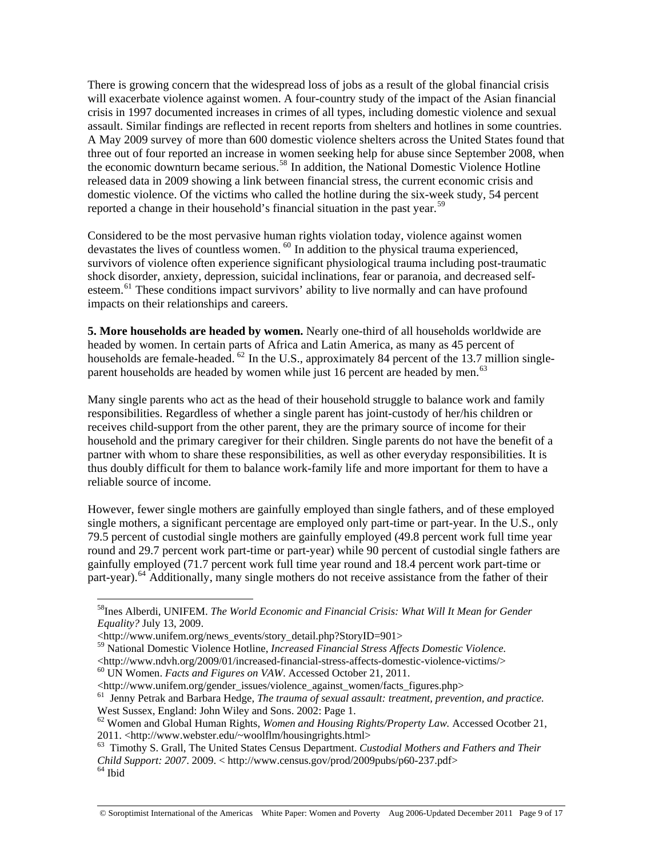There is growing concern that the widespread loss of jobs as a result of the global financial crisis will exacerbate violence against women. A four-country study of the impact of the Asian financial crisis in 1997 documented increases in crimes of all types, including domestic violence and sexual assault. Similar findings are reflected in recent reports from shelters and hotlines in some countries. A May 2009 survey of more than 600 domestic violence shelters across the United States found that three out of four reported an increase in women seeking help for abuse since September 2008, when the economic downturn became serious.<sup>[58](#page-8-0)</sup> In addition, the National Domestic Violence Hotline released data in 2009 showing a link between financial stress, the current economic crisis and domestic violence. Of the victims who called the hotline during the six-week study, 54 percent reported a change in their household's financial situation in the past year.<sup>[59](#page-8-1)</sup>

Considered to be the most pervasive human rights violation today, violence against women devastates the lives of countless women.  $60$  In addition to the physical trauma experienced, survivors of violence often experience significant physiological trauma including post-traumatic shock disorder, anxiety, depression, suicidal inclinations, fear or paranoia, and decreased self-esteem.<sup>[61](#page-8-3)</sup> These conditions impact survivors' ability to live normally and can have profound impacts on their relationships and careers.

**5. More households are headed by women.** Nearly one-third of all households worldwide are headed by women. In certain parts of Africa and Latin America, as many as 45 percent of households are female-headed.  $^{62}$  $^{62}$  $^{62}$  In the U.S., approximately 84 percent of the 13.7 million single-parent households are headed by women while just 16 percent are headed by men.<sup>[63](#page-8-5)</sup>

Many single parents who act as the head of their household struggle to balance work and family responsibilities. Regardless of whether a single parent has joint-custody of her/his children or receives child-support from the other parent, they are the primary source of income for their household and the primary caregiver for their children. Single parents do not have the benefit of a partner with whom to share these responsibilities, as well as other everyday responsibilities. It is thus doubly difficult for them to balance work-family life and more important for them to have a reliable source of income.

However, fewer single mothers are gainfully employed than single fathers, and of these employed single mothers, a significant percentage are employed only part-time or part-year. In the U.S., only 79.5 percent of custodial single mothers are gainfully employed (49.8 percent work full time year round and 29.7 percent work part-time or part-year) while 90 percent of custodial single fathers are gainfully employed (71.7 percent work full time year round and 18.4 percent work part-time or part-year).<sup>[64](#page-8-6)</sup> Additionally, many single mothers do not receive assistance from the father of their

<span id="page-8-0"></span><sup>58</sup>Ines Alberdi, UNIFEM. *The World Economic and Financial Crisis: What Will It Mean for Gender Equality?* July 13, 2009.

<sup>&</sup>lt;http://www.unifem.org/news\_events/story\_detail.php?StoryID=901>

<span id="page-8-1"></span><sup>59</sup> National Domestic Violence Hotline, *Increased Financial Stress Affects Domestic Violence.*

<span id="page-8-2"></span><sup>&</sup>lt;sup>60</sup> UN Women. *Facts and Figures on VAW*. Accessed October 21, 2011.

<span id="page-8-3"></span><sup>&</sup>lt;http://www.unifem.org/gender\_issues/violence\_against\_women/facts\_figures.php> 61 Jenny Petrak and Barbara Hedge, *The trauma of sexual assault: treatment, prevention, and practice.* West Sussex, England: John Wiley and Sons. 2002: Page 1.

<span id="page-8-4"></span><sup>62</sup> Women and Global Human Rights, *Women and Housing Rights/Property Law.* Accessed Ocotber 21, 2011. <http://www.webster.edu/~woolflm/housingrights.html><br><sup>63</sup> Timothy S. Grall, The United States Census Department. *Custodial Mothers and Fathers and Their* 

<span id="page-8-6"></span><span id="page-8-5"></span>*Child Support: 2007*. 2009. < http://www.census.gov/prod/2009pubs/p60-237.pdf> 64 Ibid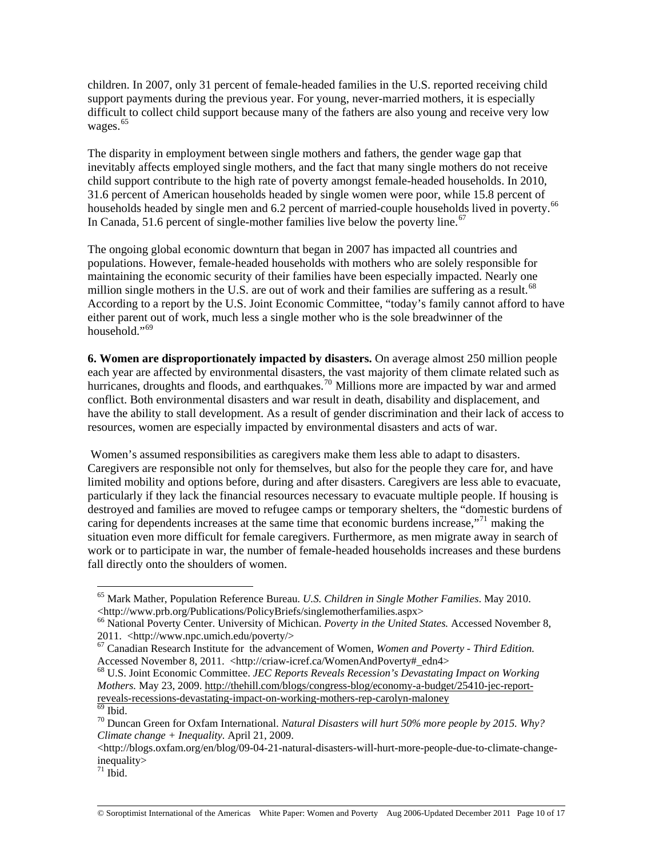children. In 2007, only 31 percent of female-headed families in the U.S. reported receiving child support payments during the previous year. For young, never-married mothers, it is especially difficult to collect child support because many of the fathers are also young and receive very low wages.<sup>[65](#page-9-0)</sup>

The disparity in employment between single mothers and fathers, the gender wage gap that inevitably affects employed single mothers, and the fact that many single mothers do not receive child support contribute to the high rate of poverty amongst female-headed households. In 2010, 31.6 percent of American households headed by single women were poor, while 15.8 percent of households headed by single men and 6.2 percent of married-couple households lived in poverty.<sup>[66](#page-9-1)</sup> In Canada, 51.6 percent of single-mother families live below the poverty line.<sup>[67](#page-9-2)</sup>

The ongoing global economic downturn that began in 2007 has impacted all countries and populations. However, female-headed households with mothers who are solely responsible for maintaining the economic security of their families have been especially impacted. Nearly one million single mothers in the U.S. are out of work and their families are suffering as a result.<sup>[68](#page-9-3)</sup> According to a report by the U.S. Joint Economic Committee, "today's family cannot afford to have either parent out of work, much less a single mother who is the sole breadwinner of the household."<sup>[69](#page-9-4)</sup>

**6. Women are disproportionately impacted by disasters.** On average almost 250 million people each year are affected by environmental disasters, the vast majority of them climate related such as hurricanes, droughts and floods, and earthquakes.<sup>[70](#page-9-5)</sup> Millions more are impacted by war and armed conflict. Both environmental disasters and war result in death, disability and displacement, and have the ability to stall development. As a result of gender discrimination and their lack of access to resources, women are especially impacted by environmental disasters and acts of war.

 Women's assumed responsibilities as caregivers make them less able to adapt to disasters. Caregivers are responsible not only for themselves, but also for the people they care for, and have limited mobility and options before, during and after disasters. Caregivers are less able to evacuate, particularly if they lack the financial resources necessary to evacuate multiple people. If housing is destroyed and families are moved to refugee camps or temporary shelters, the "domestic burdens of caring for dependents increases at the same time that economic burdens increase,"[71](#page-9-6) making the situation even more difficult for female caregivers. Furthermore, as men migrate away in search of work or to participate in war, the number of female-headed households increases and these burdens fall directly onto the shoulders of women.

<span id="page-9-0"></span><sup>65</sup> Mark Mather, Population Reference Bureau. *U.S. Children in Single Mother Families*. May 2010. <http://www.prb.org/Publications/PolicyBriefs/singlemotherfamilies.aspx>

<span id="page-9-1"></span><sup>66</sup> National Poverty Center. University of Michican. *Poverty in the United States.* Accessed November 8, 2011. <http://www.npc.umich.edu/poverty/>

<span id="page-9-2"></span><sup>&</sup>lt;sup>67</sup> Canadian Research Institute for the advancement of Women, *Women and Poverty - Third Edition*.<br>Accessed November 8, 2011. <http://criaw-icref.ca/WomenAndPoverty#\_edn4>

<span id="page-9-3"></span><sup>&</sup>lt;sup>68</sup> U.S. Joint Economic Committee. *JEC Reports Reveals Recession's Devastating Impact on Working Mothers.* May 23, 2009. [http://thehill.com/blogs/congress-blog/economy-a-budget/25410-jec-report](http://thehill.com/blogs/congress-blog/economy-a-budget/25410-jec-report-reveals-recessions-devastating-impact-on-working-mothers-rep-carolyn-maloney)[reveals-recessions-devastating-impact-on-working-mothers-rep-carolyn-maloney](http://thehill.com/blogs/congress-blog/economy-a-budget/25410-jec-report-reveals-recessions-devastating-impact-on-working-mothers-rep-carolyn-maloney)  $\overline{69}$  Ibid.

<span id="page-9-5"></span><span id="page-9-4"></span><sup>70</sup> Duncan Green for Oxfam International. *Natural Disasters will hurt 50% more people by 2015. Why? Climate change + Inequality.* April 21, 2009.

<sup>&</sup>lt;http://blogs.oxfam.org/en/blog/09-04-21-natural-disasters-will-hurt-more-people-due-to-climate-changeinequality>

<span id="page-9-6"></span> $71$  Ibid.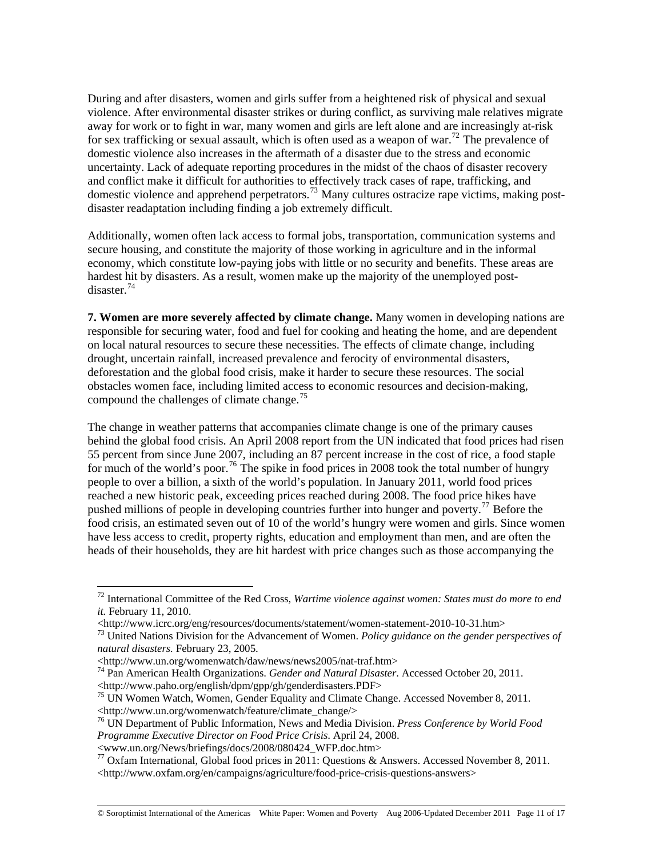During and after disasters, women and girls suffer from a heightened risk of physical and sexual violence. After environmental disaster strikes or during conflict, as surviving male relatives migrate away for work or to fight in war, many women and girls are left alone and are increasingly at-risk for sex trafficking or sexual assault, which is often used as a weapon of war.<sup>[72](#page-10-0)</sup> The prevalence of domestic violence also increases in the aftermath of a disaster due to the stress and economic uncertainty. Lack of adequate reporting procedures in the midst of the chaos of disaster recovery and conflict make it difficult for authorities to effectively track cases of rape, trafficking, and domestic violence and apprehend perpetrators.[73](#page-10-1) Many cultures ostracize rape victims, making postdisaster readaptation including finding a job extremely difficult.

Additionally, women often lack access to formal jobs, transportation, communication systems and secure housing, and constitute the majority of those working in agriculture and in the informal economy, which constitute low-paying jobs with little or no security and benefits. These areas are hardest hit by disasters. As a result, women make up the majority of the unemployed postdisaster<sup>74</sup>

responsible for securing water, food and fuel for cooking and heating the home, and are dependent on local natural resources to secure these necessities. The effects of climate change, including obstacles women face, including limited access to economic resources and decision-making, compound the challenges of climate change.<sup>75</sup> **7. Women are more severely affected by climate change.** Many women in developing nations are drought, uncertain rainfall, increased prevalence and ferocity of environmental disasters, deforestation and the global food crisis, make it harder to secure these resources. The social

for much of the world's poor.<sup>[76](#page-10-2)</sup> The spike in food prices in 2008 took the total number of hungry food crisis, an estimated seven out of 10 of the world's hungry were women and girls. Since women heads of their households, they are hit hardest with price changes such as those accompanying the The change in weather patterns that accompanies climate change is one of the primary causes behind the global food crisis. An April 2008 report from the UN indicated that food prices had risen 55 percent from since June 2007, including an 87 percent increase in the cost of rice, a food staple people to over a billion, a sixth of the world's population. In January 2011, world food prices reached a new historic peak, exceeding prices reached during 2008. The food price hikes have pushed millions of people in developing countries further into hunger and poverty.<sup>[77](#page-10-3)</sup> Before the have less access to credit, property rights, education and employment than men, and are often the

<span id="page-10-0"></span><sup>72</sup> International Committee of the Red Cross, *Wartime violence against women: States must do more to end it.* February 11, 2010.<br>
<http://www.icrc.org/eng/resources/documents/statement/women-statement-2010-10-31.htm>

<span id="page-10-1"></span><sup>&</sup>lt;sup>73</sup> United Nations Division for the Advancement of Women. *Policy guidance on the gender perspectives of natural disasters.* February 23, 2005.

<sup>&</sup>lt;http://www.un.org/womenwatch/daw/news/news2005/nat-traf.htm>

<sup>74</sup> Pan American Health Organizations. *Gender and Natural Disaster*. Accessed October 20, 2011. <http://www.paho.org/english/dpm/gpp/gh/genderdisasters.PDF> 75 UN Women Watch, Women, Gender Equality and Climate Change. Accessed November 8, 2011.

<sup>&</sup>lt;http://www.un.org/womenwatch/feature/climate\_change/>

<span id="page-10-2"></span><sup>76</sup> UN Department of Public Information, News and Media Division. *Press Conference by World Food Programme Executive Director on Food Price Crisis*. April 24, 2008.

<sup>&</sup>lt;www.un.org/News/briefings/docs/2008/080424\_WFP.doc.htm>

<span id="page-10-3"></span><sup>&</sup>lt;sup>77</sup> Oxfam International, Global food prices in 2011: Questions & Answers. Accessed November 8, 2011. <http://www.oxfam.org/en/campaigns/agriculture/food-price-crisis-questions-answers>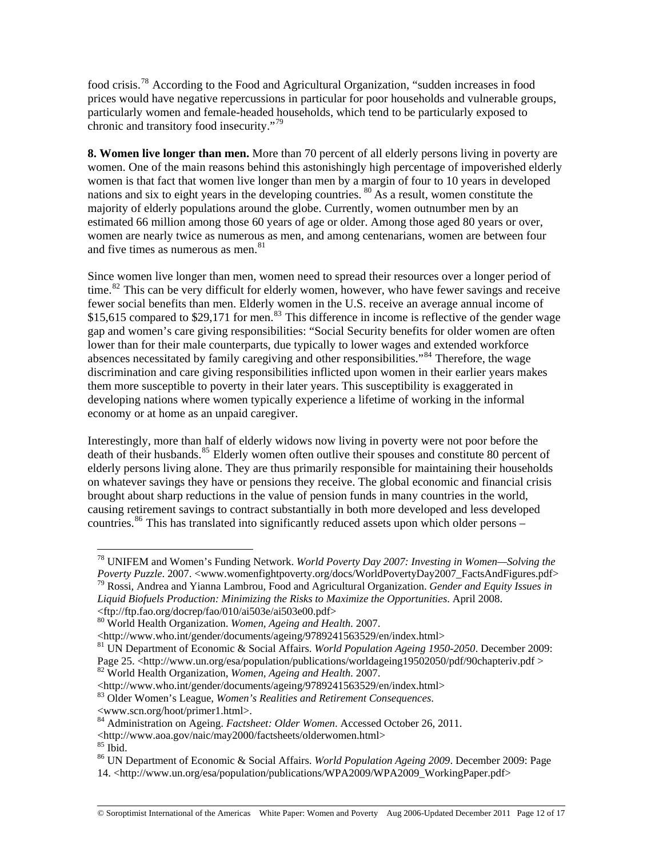food crisis.[78](#page-11-0) According to the Food and Agricultural Organization, "sudden increases in food prices would have negative repercussions in particular for poor households and vulnerable groups, particularly women and female-headed households, which tend to be particularly exposed to chronic and transitory food insecurity."[79](#page-11-1)

**8. Women live longer than men.** More than 70 percent of all elderly persons living in poverty are women. One of the main reasons behind this astonishingly high percentage of impoverished elderly women is that fact that women live longer than men by a margin of four to 10 years in developed nations and six to eight years in the developing countries. [80](#page-11-2) As a result, women constitute the majority of elderly populations around the globe. Currently, women outnumber men by an estimated 66 million among those 60 years of age or older. Among those aged 80 years or over, women are nearly twice as numerous as men, and among centenarians, women are between four and five times as numerous as men.<sup>[81](#page-11-3)</sup>

Since women live longer than men, women need to spread their resources over a longer period of time.<sup>[82](#page-11-4)</sup> This can be very difficult for elderly women, however, who have fewer savings and receive fewer social benefits than men. Elderly women in the U.S. receive an average annual income of \$15,615 compared to \$29,171 for men.<sup>[83](#page-11-5)</sup> This difference in income is reflective of the gender wage gap and women's care giving responsibilities: "Social Security benefits for older women are often lower than for their male counterparts, due typically to lower wages and extended workforce absences necessitated by family caregiving and other responsibilities."<sup>[84](#page-11-6)</sup> Therefore, the wage discrimination and care giving responsibilities inflicted upon women in their earlier years makes them more susceptible to poverty in their later years. This susceptibility is exaggerated in developing nations where women typically experience a lifetime of working in the informal economy or at home as an unpaid caregiver.

Interestingly, more than half of elderly widows now living in poverty were not poor before the death of their husbands.<sup>[85](#page-11-7)</sup> Elderly women often outlive their spouses and constitute 80 percent of elderly persons living alone. They are thus primarily responsible for maintaining their households on whatever savings they have or pensions they receive. The global economic and financial crisis brought about sharp reductions in the value of pension funds in many countries in the world, causing retirement savings to contract substantially in both more developed and less developed countries.<sup>[86](#page-11-8)</sup> This has translated into significantly reduced assets upon which older persons –

<span id="page-11-0"></span><sup>78</sup> UNIFEM and Women's Funding Network. *World Poverty Day 2007: Investing in Women—Solving the Poverty Puzzle*. 2007. <www.womenfightpoverty.org/docs/WorldPovertyDay2007\_FactsAndFigures.pdf> 79 Rossi, Andrea and Yianna Lambrou, Food and Agricultural Organization. *Gender and Equity Issues in* 

<span id="page-11-1"></span>*Liquid Biofuels Production: Minimizing the Risks to Maximize the Opportunities*. April 2008.

<sup>&</sup>lt;ftp://ftp.fao.org/docrep/fao/010/ai503e/ai503e00.pdf>

<sup>80</sup> World Health Organization. *Women, Ageing and Health.* 2007.

<span id="page-11-2"></span><sup>&</sup>lt;http://www.who.int/gender/documents/ageing/9789241563529/en/index.html>

<span id="page-11-3"></span><sup>81</sup> UN Department of Economic & Social Affairs. *World Population Ageing 1950-2050*. December 2009: Page 25. <http://www.un.org/esa/population/publications/worldageing19502050/pdf/90chapteriv.pdf > 82 World Health Organization, *Women, Ageing and Health.* 2007.

<span id="page-11-4"></span><sup>&</sup>lt;http://www.who.int/gender/documents/ageing/9789241563529/en/index.html>

<span id="page-11-5"></span><sup>83</sup> Older Women's League, *Women's Realities and Retirement Consequences*.

<sup>&</sup>lt;www.scn.org/hoot/primer1.html>.

<span id="page-11-6"></span><sup>84</sup> Administration on Ageing. *Factsheet: Older Women*. Accessed October 26, 2011.

<sup>&</sup>lt;http://www.aoa.gov/naic/may2000/factsheets/olderwomen.html>

 $85$  Ibid.

<span id="page-11-8"></span><span id="page-11-7"></span><sup>86</sup> UN Department of Economic & Social Affairs. *World Population Ageing 2009*. December 2009: Page 14. <http://www.un.org/esa/population/publications/WPA2009/WPA2009\_WorkingPaper.pdf>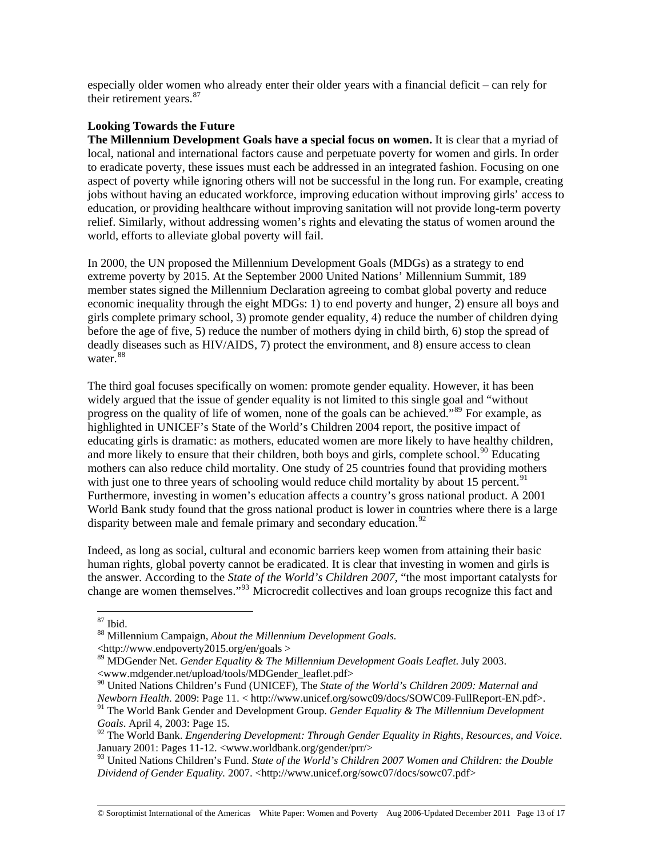especially older women who already enter their older years with a financial deficit – can rely for their retirement years.<sup>[87](#page-12-0)</sup>

### **Looking Towards the Future**

**The Millennium Development Goals have a special focus on women.** It is clear that a myriad of local, national and international factors cause and perpetuate poverty for women and girls. In order to eradicate poverty, these issues must each be addressed in an integrated fashion. Focusing on one aspect of poverty while ignoring others will not be successful in the long run. For example, creating jobs without having an educated workforce, improving education without improving girls' access to education, or providing healthcare without improving sanitation will not provide long-term poverty relief. Similarly, without addressing women's rights and elevating the status of women around the world, efforts to alleviate global poverty will fail.

In 2000, the UN proposed the Millennium Development Goals (MDGs) as a strategy to end extreme poverty by 2015. At the September 2000 United Nations' Millennium Summit, 189 member states signed the Millennium Declaration agreeing to combat global poverty and reduce economic inequality through the eight MDGs: 1) to end poverty and hunger, 2) ensure all boys and girls complete primary school, 3) promote gender equality, 4) reduce the number of children dying before the age of five, 5) reduce the number of mothers dying in child birth, 6) stop the spread of deadly diseases such as HIV/AIDS, 7) protect the environment, and 8) ensure access to clean water.<sup>[88](#page-12-1)</sup>

The third goal focuses specifically on women: promote gender equality. However, it has been widely argued that the issue of gender equality is not limited to this single goal and "without" progress on the quality of life of women, none of the goals can be achieved."<sup>[89](#page-12-2)</sup> For example, as highlighted in UNICEF's State of the World's Children 2004 report, the positive impact of educating girls is dramatic: as mothers, educated women are more likely to have healthy children, and more likely to ensure that their children, both boys and girls, complete school.<sup>[90](#page-12-3)</sup> Educating mothers can also reduce child mortality. One study of 25 countries found that providing mothers with just one to three years of schooling would reduce child mortality by about 15 percent.<sup>[91](#page-12-4)</sup> Furthermore, investing in women's education affects a country's gross national product. A 2001 World Bank study found that the gross national product is lower in countries where there is a large disparity between male and female primary and secondary education.<sup>[92](#page-12-5)</sup>

Indeed, as long as social, cultural and economic barriers keep women from attaining their basic human rights, global poverty cannot be eradicated. It is clear that investing in women and girls is the answer. According to the *State of the World's Children 2007*, "the most important catalysts for change are women themselves."[93](#page-12-6) Microcredit collectives and loan groups recognize this fact and

 $\overline{a}$ 

© Soroptimist International of the Americas White Paper: Women and Poverty Aug 2006-Updated December 2011 Page 13 of 17

<span id="page-12-0"></span><sup>87</sup> Ibid.

<span id="page-12-1"></span><sup>88</sup> Millennium Campaign, *About the Millennium Development Goals.*

<sup>&</sup>lt;http://www.endpoverty2015.org/en/goals >

<span id="page-12-2"></span><sup>89</sup> MDGender Net. *Gender Equality & The Millennium Development Goals Leaflet*. July 2003. <www.mdgender.net/upload/tools/MDGender\_leaflet.pdf>

<span id="page-12-3"></span><sup>90</sup> United Nations Children's Fund (UNICEF), The *State of the World's Children 2009: Maternal and Newborn Health*. 2009: Page 11. < http://www.unicef.org/sowc09/docs/SOWC09-FullReport-EN.pdf>.

<span id="page-12-4"></span><sup>91</sup> The World Bank Gender and Development Group. *Gender Equality & The Millennium Development Goals*. April 4, 2003: Page 15.

<span id="page-12-5"></span><sup>92</sup> The World Bank. *Engendering Development: Through Gender Equality in Rights, Resources, and Voice*. January 2001: Pages 11-12. <www.worldbank.org/gender/prr/>

<span id="page-12-6"></span><sup>93</sup> United Nations Children's Fund. *State of the World's Children 2007 Women and Children: the Double Dividend of Gender Equality.* 2007. <http://www.unicef.org/sowc07/docs/sowc07.pdf>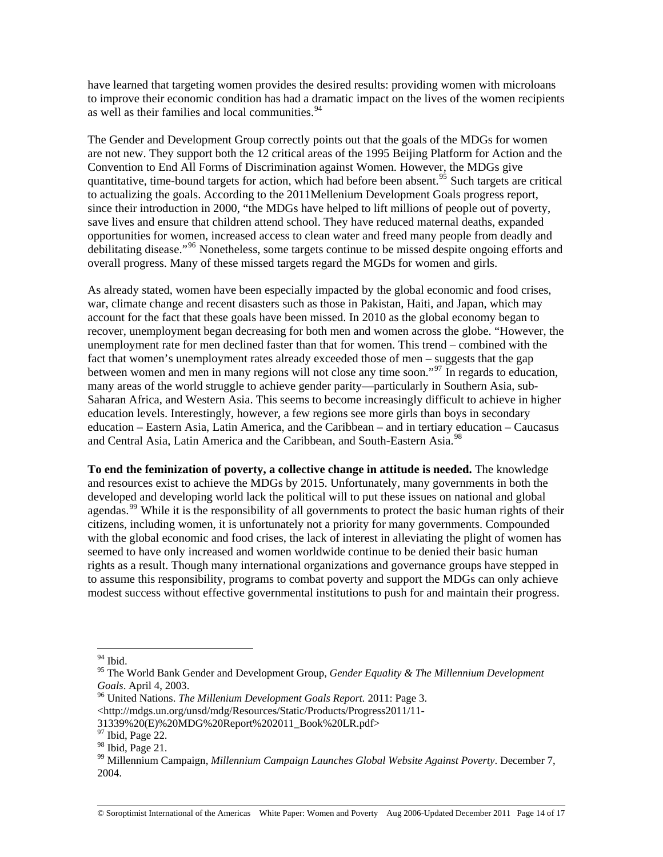have learned that targeting women provides the desired results: providing women with microloans to improve their economic condition has had a dramatic impact on the lives of the women recipients as well as their families and local communities.  $94$ 

The Gender and Development Group correctly points out that the goals of the MDGs for women are not new. They support both the 12 critical areas of the 1995 Beijing Platform for Action and the Convention to End All Forms of Discrimination against Women. However, the MDGs give quantitative, time-bound targets for action, which had before been absent.<sup>[95](#page-13-1)</sup> Such targets are critical to actualizing the goals. According to the 2011Mellenium Development Goals progress report, since their introduction in 2000, "the MDGs have helped to lift millions of people out of poverty, save lives and ensure that children attend school. They have reduced maternal deaths, expanded opportunities for women, increased access to clean water and freed many people from deadly and debilitating disease."[96](#page-13-2) Nonetheless, some targets continue to be missed despite ongoing efforts and overall progress. Many of these missed targets regard the MGDs for women and girls.

As already stated, women have been especially impacted by the global economic and food crises, war, climate change and recent disasters such as those in Pakistan, Haiti, and Japan, which may account for the fact that these goals have been missed. In 2010 as the global economy began to recover, unemployment began decreasing for both men and women across the globe. "However, the unemployment rate for men declined faster than that for women. This trend – combined with the fact that women's unemployment rates already exceeded those of men – suggests that the gap between women and men in many regions will not close any time soon."<sup>[97](#page-13-3)</sup> In regards to education, many areas of the world struggle to achieve gender parity—particularly in Southern Asia, sub-Saharan Africa, and Western Asia. This seems to become increasingly difficult to achieve in higher education levels. Interestingly, however, a few regions see more girls than boys in secondary education – Eastern Asia, Latin America, and the Caribbean – and in tertiary education – Caucasus and Central Asia, Latin America and the Caribbean, and South-Eastern Asia.<sup>[98](#page-13-4)</sup>

**To end the feminization of poverty, a collective change in attitude is needed.** The knowledge and resources exist to achieve the MDGs by 2015. Unfortunately, many governments in both the developed and developing world lack the political will to put these issues on national and global agendas.<sup>[99](#page-13-5)</sup> While it is the responsibility of all governments to protect the basic human rights of their citizens, including women, it is unfortunately not a priority for many governments. Compounded with the global economic and food crises, the lack of interest in alleviating the plight of women has seemed to have only increased and women worldwide continue to be denied their basic human rights as a result. Though many international organizations and governance groups have stepped in to assume this responsibility, programs to combat poverty and support the MDGs can only achieve modest success without effective governmental institutions to push for and maintain their progress.

<sup>94</sup> Ibid.

<span id="page-13-1"></span><span id="page-13-0"></span><sup>95</sup> The World Bank Gender and Development Group, *Gender Equality & The Millennium Development Goals.* April 4, 2003.<br><sup>96</sup> United Nations. *The Millenium Development Goals Report.* 2011: Page 3.

<span id="page-13-2"></span>

<sup>&</sup>lt;http://mdgs.un.org/unsd/mdg/Resources/Static/Products/Progress2011/11-

<sup>31339%20(</sup>E)%20MDG%20Report%202011\_Book%20LR.pdf>

<span id="page-13-3"></span> $^{97}$  Ibid, Page 22.

<span id="page-13-4"></span> $98$  Ibid, Page 21.

<span id="page-13-5"></span><sup>99</sup> Millennium Campaign, *Millennium Campaign Launches Global Website Against Poverty*. December 7, 2004.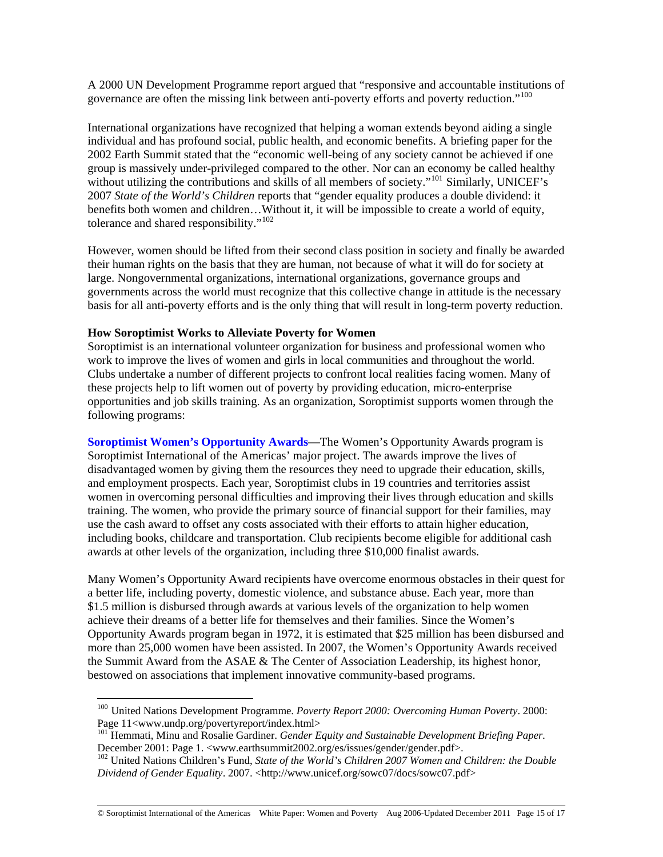A 2000 UN Development Programme report argued that "responsive and accountable institutions of governance are often the missing link between anti-poverty efforts and poverty reduction."<sup>[100](#page-14-0)</sup>

International organizations have recognized that helping a woman extends beyond aiding a single individual and has profound social, public health, and economic benefits. A briefing paper for the 2002 Earth Summit stated that the "economic well-being of any society cannot be achieved if one group is massively under-privileged compared to the other. Nor can an economy be called healthy without utilizing the contributions and skills of all members of society."<sup>[101](#page-14-1)</sup> Similarly, UNICEF's 2007 *State of the World's Children* reports that "gender equality produces a double dividend: it benefits both women and children…Without it, it will be impossible to create a world of equity, tolerance and shared responsibility."<sup>[102](#page-14-2)</sup>

However, women should be lifted from their second class position in society and finally be awarded their human rights on the basis that they are human, not because of what it will do for society at large. Nongovernmental organizations, international organizations, governance groups and governments across the world must recognize that this collective change in attitude is the necessary basis for all anti-poverty efforts and is the only thing that will result in long-term poverty reduction.

#### **How Soroptimist Works to Alleviate Poverty for Women**

 $\overline{a}$ 

Soroptimist is an international volunteer organization for business and professional women who work to improve the lives of women and girls in local communities and throughout the world. Clubs undertake a number of different projects to confront local realities facing women. Many of these projects help to lift women out of poverty by providing education, micro-enterprise opportunities and job skills training. As an organization, Soroptimist supports women through the following programs:

**[Soroptimist Women's Opportunity Awards—](http://www.soroptimist.org/awards/awards.html)**The Women's Opportunity Awards program is Soroptimist International of the Americas' major project. The awards improve the lives of disadvantaged women by giving them the resources they need to upgrade their education, skills, and employment prospects. Each year, Soroptimist clubs in 19 countries and territories assist women in overcoming personal difficulties and improving their lives through education and skills training. The women, who provide the primary source of financial support for their families, may use the cash award to offset any costs associated with their efforts to attain higher education, including books, childcare and transportation. Club recipients become eligible for additional cash awards at other levels of the organization, including three \$10,000 finalist awards.

Many Women's Opportunity Award recipients have overcome enormous obstacles in their quest for a better life, including poverty, domestic violence, and substance abuse. Each year, more than \$1.5 million is disbursed through awards at various levels of the organization to help women achieve their dreams of a better life for themselves and their families. Since the Women's Opportunity Awards program began in 1972, it is estimated that \$25 million has been disbursed and more than 25,000 women have been assisted. In 2007, the Women's Opportunity Awards received the Summit Award from the ASAE & The Center of Association Leadership, its highest honor, bestowed on associations that implement innovative community-based programs.

© Soroptimist International of the Americas White Paper: Women and Poverty Aug 2006-Updated December 2011 Page 15 of 17

<span id="page-14-0"></span><sup>100</sup> United Nations Development Programme. *Poverty Report 2000: Overcoming Human Poverty*. 2000: Page 11<www.undp.org/povertyreport/index.html>

<span id="page-14-1"></span><sup>&</sup>lt;sup>101</sup> Hemmati, Minu and Rosalie Gardiner. *Gender Equity and Sustainable Development Briefing Paper.*<br>December 2001: Page 1. <www.earthsummit2002.org/es/issues/gender/gender.pdf>.

<span id="page-14-2"></span><sup>&</sup>lt;sup>102</sup> United Nations Children's Fund, *State of the World's Children 2007 Women and Children: the Double Dividend of Gender Equality*. 2007. <http://www.unicef.org/sowc07/docs/sowc07.pdf>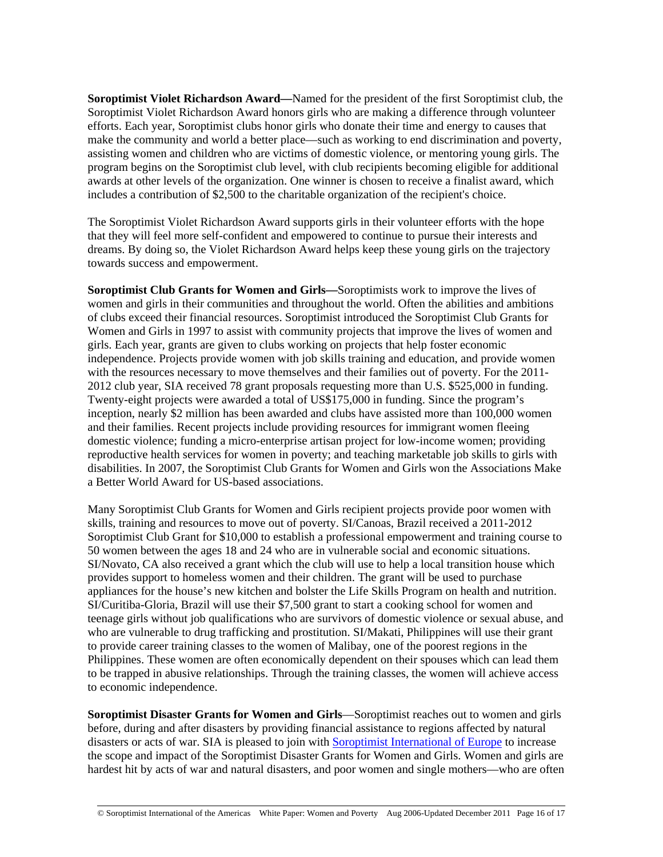**Soroptimist Violet Richardson Award—**Named for the president of the first Soroptimist club, the Soroptimist Violet Richardson Award honors girls who are making a difference through volunteer efforts. Each year, Soroptimist clubs honor girls who donate their time and energy to causes that make the community and world a better place—such as working to end discrimination and poverty, assisting women and children who are victims of domestic violence, or mentoring young girls. The program begins on the Soroptimist club level, with club recipients becoming eligible for additional awards at other levels of the organization. One winner is chosen to receive a finalist award, which includes a contribution of \$2,500 to the charitable organization of the recipient's choice.

The Soroptimist Violet Richardson Award supports girls in their volunteer efforts with the hope that they will feel more self-confident and empowered to continue to pursue their interests and dreams. By doing so, the Violet Richardson Award helps keep these young girls on the trajectory towards success and empowerment.

**Soroptimist Club Grants for Women and Girls—**Soroptimists work to improve the lives of women and girls in their communities and throughout the world. Often the abilities and ambitions of clubs exceed their financial resources. Soroptimist introduced the Soroptimist Club Grants for Women and Girls in 1997 to assist with community projects that improve the lives of women and girls. Each year, grants are given to clubs working on projects that help foster economic independence. Projects provide women with job skills training and education, and provide women with the resources necessary to move themselves and their families out of poverty. For the 2011- 2012 club year, SIA received 78 grant proposals requesting more than U.S. \$525,000 in funding. Twenty-eight projects were awarded a total of US\$175,000 in funding. Since the program's inception, nearly \$2 million has been awarded and clubs have assisted more than 100,000 women and their families. Recent projects include providing resources for immigrant women fleeing domestic violence; funding a micro-enterprise artisan project for low-income women; providing reproductive health services for women in poverty; and teaching marketable job skills to girls with disabilities. In 2007, the Soroptimist Club Grants for Women and Girls won the Associations Make a Better World Award for US-based associations.

Many Soroptimist Club Grants for Women and Girls recipient projects provide poor women with skills, training and resources to move out of poverty. SI/Canoas, Brazil received a 2011-2012 Soroptimist Club Grant for \$10,000 to establish a professional empowerment and training course to 50 women between the ages 18 and 24 who are in vulnerable social and economic situations. SI/Novato, CA also received a grant which the club will use to help a local transition house which provides support to homeless women and their children. The grant will be used to purchase appliances for the house's new kitchen and bolster the Life Skills Program on health and nutrition. SI/Curitiba-Gloria, Brazil will use their \$7,500 grant to start a cooking school for women and teenage girls without job qualifications who are survivors of domestic violence or sexual abuse, and who are vulnerable to drug trafficking and prostitution. SI/Makati, Philippines will use their grant to provide career training classes to the women of Malibay, one of the poorest regions in the Philippines. These women are often economically dependent on their spouses which can lead them to be trapped in abusive relationships. Through the training classes, the women will achieve access to economic independence.

**Soroptimist Disaster Grants for Women and Girls**—Soroptimist reaches out to women and girls before, during and after disasters by providing financial assistance to regions affected by natural disasters or acts of war. SIA is pleased to join with [Soroptimist International of Europe](http://www.soroptimisteurope.org/) to increase the scope and impact of the Soroptimist Disaster Grants for Women and Girls. Women and girls are hardest hit by acts of war and natural disasters, and poor women and single mothers—who are often